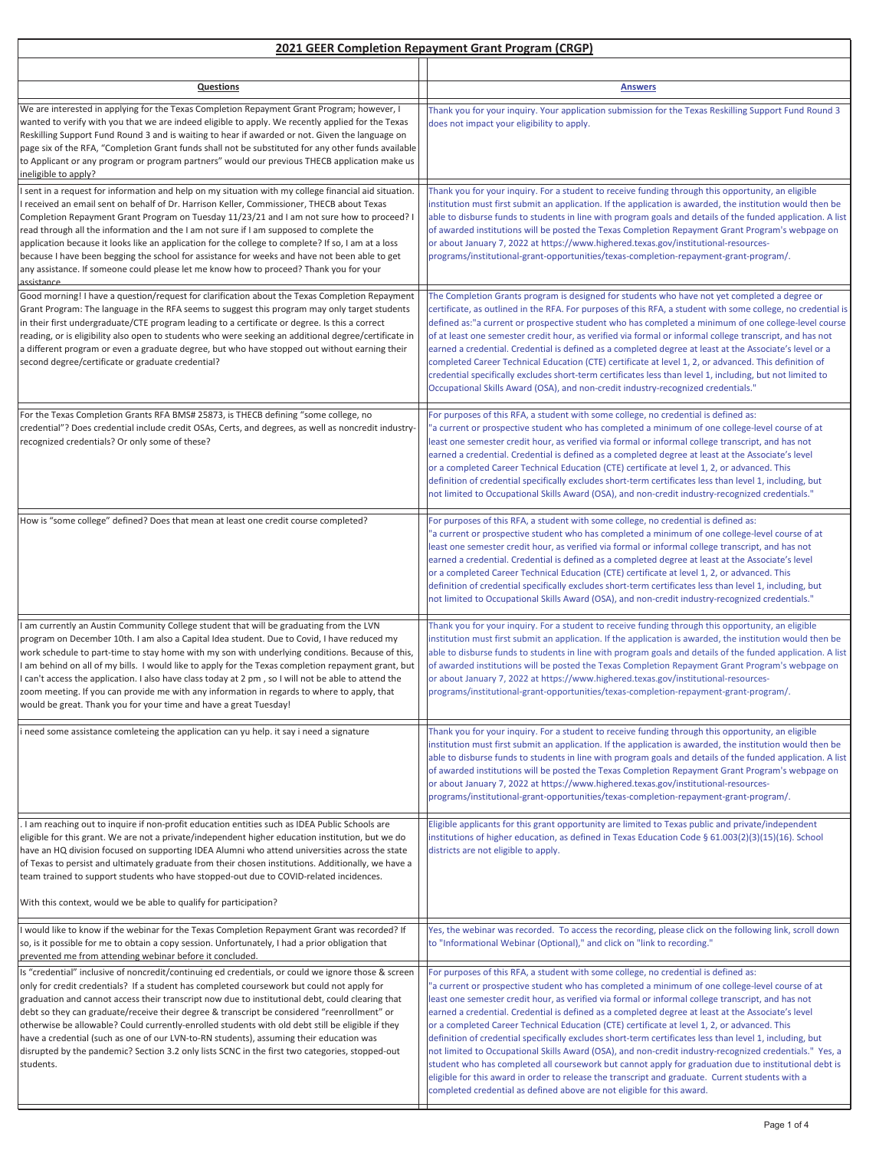## **2021 GEER Completion Repayment Grant Program (CRGP)**

| Questions                                                                                                                                                                                                                                                                                                                                                                                                                                                                                                                                                                                                                                                                                                            | <b>Answers</b>                                                                                                                                                                                                                                                                                                                                                                                                                                                                                                                                                                                                                                                                                                                                                                                                                                                                                                                                                                                                   |
|----------------------------------------------------------------------------------------------------------------------------------------------------------------------------------------------------------------------------------------------------------------------------------------------------------------------------------------------------------------------------------------------------------------------------------------------------------------------------------------------------------------------------------------------------------------------------------------------------------------------------------------------------------------------------------------------------------------------|------------------------------------------------------------------------------------------------------------------------------------------------------------------------------------------------------------------------------------------------------------------------------------------------------------------------------------------------------------------------------------------------------------------------------------------------------------------------------------------------------------------------------------------------------------------------------------------------------------------------------------------------------------------------------------------------------------------------------------------------------------------------------------------------------------------------------------------------------------------------------------------------------------------------------------------------------------------------------------------------------------------|
| We are interested in applying for the Texas Completion Repayment Grant Program; however, I<br>wanted to verify with you that we are indeed eligible to apply. We recently applied for the Texas<br>Reskilling Support Fund Round 3 and is waiting to hear if awarded or not. Given the language on<br>page six of the RFA, "Completion Grant funds shall not be substituted for any other funds available<br>to Applicant or any program or program partners" would our previous THECB application make us<br>ineligible to apply?                                                                                                                                                                                   | Thank you for your inquiry. Your application submission for the Texas Reskilling Support Fund Round 3<br>does not impact your eligibility to apply.                                                                                                                                                                                                                                                                                                                                                                                                                                                                                                                                                                                                                                                                                                                                                                                                                                                              |
| I sent in a request for information and help on my situation with my college financial aid situation.<br>received an email sent on behalf of Dr. Harrison Keller, Commissioner, THECB about Texas<br>Completion Repayment Grant Program on Tuesday 11/23/21 and I am not sure how to proceed? I<br>read through all the information and the I am not sure if I am supposed to complete the<br>application because it looks like an application for the college to complete? If so, I am at a loss<br>because I have been begging the school for assistance for weeks and have not been able to get<br>any assistance. If someone could please let me know how to proceed? Thank you for your<br>assistance           | Thank you for your inquiry. For a student to receive funding through this opportunity, an eligible<br>institution must first submit an application. If the application is awarded, the institution would then be<br>able to disburse funds to students in line with program goals and details of the funded application. A list<br>of awarded institutions will be posted the Texas Completion Repayment Grant Program's webpage on<br>or about January 7, 2022 at https://www.highered.texas.gov/institutional-resources-<br>programs/institutional-grant-opportunities/texas-completion-repayment-grant-program/.                                                                                                                                                                                                                                                                                                                                                                                              |
| Good morning! I have a question/request for clarification about the Texas Completion Repayment<br>Grant Program: The language in the RFA seems to suggest this program may only target students<br>in their first undergraduate/CTE program leading to a certificate or degree. Is this a correct<br>reading, or is eligibility also open to students who were seeking an additional degree/certificate in<br>a different program or even a graduate degree, but who have stopped out without earning their<br>second degree/certificate or graduate credential?                                                                                                                                                     | The Completion Grants program is designed for students who have not yet completed a degree or<br>certificate, as outlined in the RFA. For purposes of this RFA, a student with some college, no credential is<br>defined as:"a current or prospective student who has completed a minimum of one college-level course<br>of at least one semester credit hour, as verified via formal or informal college transcript, and has not<br>earned a credential. Credential is defined as a completed degree at least at the Associate's level or a<br>completed Career Technical Education (CTE) certificate at level 1, 2, or advanced. This definition of<br>credential specifically excludes short-term certificates less than level 1, including, but not limited to<br>Occupational Skills Award (OSA), and non-credit industry-recognized credentials."                                                                                                                                                          |
| For the Texas Completion Grants RFA BMS# 25873, is THECB defining "some college, no<br>credential"? Does credential include credit OSAs, Certs, and degrees, as well as noncredit industry-<br>recognized credentials? Or only some of these?                                                                                                                                                                                                                                                                                                                                                                                                                                                                        | For purposes of this RFA, a student with some college, no credential is defined as:<br>"a current or prospective student who has completed a minimum of one college-level course of at<br>least one semester credit hour, as verified via formal or informal college transcript, and has not<br>earned a credential. Credential is defined as a completed degree at least at the Associate's level<br>or a completed Career Technical Education (CTE) certificate at level 1, 2, or advanced. This<br>definition of credential specifically excludes short-term certificates less than level 1, including, but<br>not limited to Occupational Skills Award (OSA), and non-credit industry-recognized credentials."                                                                                                                                                                                                                                                                                               |
| How is "some college" defined? Does that mean at least one credit course completed?                                                                                                                                                                                                                                                                                                                                                                                                                                                                                                                                                                                                                                  | For purposes of this RFA, a student with some college, no credential is defined as:<br>"a current or prospective student who has completed a minimum of one college-level course of at<br>least one semester credit hour, as verified via formal or informal college transcript, and has not<br>earned a credential. Credential is defined as a completed degree at least at the Associate's level<br>or a completed Career Technical Education (CTE) certificate at level 1, 2, or advanced. This<br>definition of credential specifically excludes short-term certificates less than level 1, including, but<br>not limited to Occupational Skills Award (OSA), and non-credit industry-recognized credentials."                                                                                                                                                                                                                                                                                               |
| I am currently an Austin Community College student that will be graduating from the LVN<br>program on December 10th. I am also a Capital Idea student. Due to Covid, I have reduced my<br>work schedule to part-time to stay home with my son with underlying conditions. Because of this,<br>am behind on all of my bills. I would like to apply for the Texas completion repayment grant, but<br>can't access the application. I also have class today at 2 pm, so I will not be able to attend the<br>zoom meeting. If you can provide me with any information in regards to where to apply, that<br>would be great. Thank you for your time and have a great Tuesday!                                            | Thank you for your inquiry. For a student to receive funding through this opportunity, an eligible<br>institution must first submit an application. If the application is awarded, the institution would then be<br>able to disburse funds to students in line with program goals and details of the funded application. A list<br>of awarded institutions will be posted the Texas Completion Repayment Grant Program's webpage on<br>or about January 7, 2022 at https://www.highered.texas.gov/institutional-resources-<br>programs/institutional-grant-opportunities/texas-completion-repayment-grant-program/.                                                                                                                                                                                                                                                                                                                                                                                              |
| i need some assistance comleteing the application can yu help. it say i need a signature                                                                                                                                                                                                                                                                                                                                                                                                                                                                                                                                                                                                                             | Thank you for your inquiry. For a student to receive funding through this opportunity, an eligible<br>institution must first submit an application. If the application is awarded, the institution would then be<br>able to disburse funds to students in line with program goals and details of the funded application. A list<br>of awarded institutions will be posted the Texas Completion Repayment Grant Program's webpage on<br>or about January 7, 2022 at https://www.highered.texas.gov/institutional-resources-<br>programs/institutional-grant-opportunities/texas-completion-repayment-grant-program/.                                                                                                                                                                                                                                                                                                                                                                                              |
| I am reaching out to inquire if non-profit education entities such as IDEA Public Schools are<br>eligible for this grant. We are not a private/independent higher education institution, but we do<br>have an HQ division focused on supporting IDEA Alumni who attend universities across the state<br>of Texas to persist and ultimately graduate from their chosen institutions. Additionally, we have a<br>team trained to support students who have stopped-out due to COVID-related incidences.<br>With this context, would we be able to qualify for participation?                                                                                                                                           | Eligible applicants for this grant opportunity are limited to Texas public and private/independent<br>institutions of higher education, as defined in Texas Education Code § 61.003(2)(3)(15)(16). School<br>districts are not eligible to apply.                                                                                                                                                                                                                                                                                                                                                                                                                                                                                                                                                                                                                                                                                                                                                                |
| I would like to know if the webinar for the Texas Completion Repayment Grant was recorded? If<br>so, is it possible for me to obtain a copy session. Unfortunately, I had a prior obligation that<br>prevented me from attending webinar before it concluded.                                                                                                                                                                                                                                                                                                                                                                                                                                                        | Yes, the webinar was recorded. To access the recording, please click on the following link, scroll down<br>to "Informational Webinar (Optional)," and click on "link to recording."                                                                                                                                                                                                                                                                                                                                                                                                                                                                                                                                                                                                                                                                                                                                                                                                                              |
| Is "credential" inclusive of noncredit/continuing ed credentials, or could we ignore those & screen<br>only for credit credentials? If a student has completed coursework but could not apply for<br>graduation and cannot access their transcript now due to institutional debt, could clearing that<br>debt so they can graduate/receive their degree & transcript be considered "reenrollment" or<br>otherwise be allowable? Could currently-enrolled students with old debt still be eligible if they<br>have a credential (such as one of our LVN-to-RN students), assuming their education was<br>disrupted by the pandemic? Section 3.2 only lists SCNC in the first two categories, stopped-out<br>students. | For purposes of this RFA, a student with some college, no credential is defined as:<br>a current or prospective student who has completed a minimum of one college-level course of at"<br>least one semester credit hour, as verified via formal or informal college transcript, and has not<br>earned a credential. Credential is defined as a completed degree at least at the Associate's level<br>or a completed Career Technical Education (CTE) certificate at level 1, 2, or advanced. This<br>definition of credential specifically excludes short-term certificates less than level 1, including, but<br>not limited to Occupational Skills Award (OSA), and non-credit industry-recognized credentials." Yes, a<br>student who has completed all coursework but cannot apply for graduation due to institutional debt is<br>eligible for this award in order to release the transcript and graduate. Current students with a<br>completed credential as defined above are not eligible for this award. |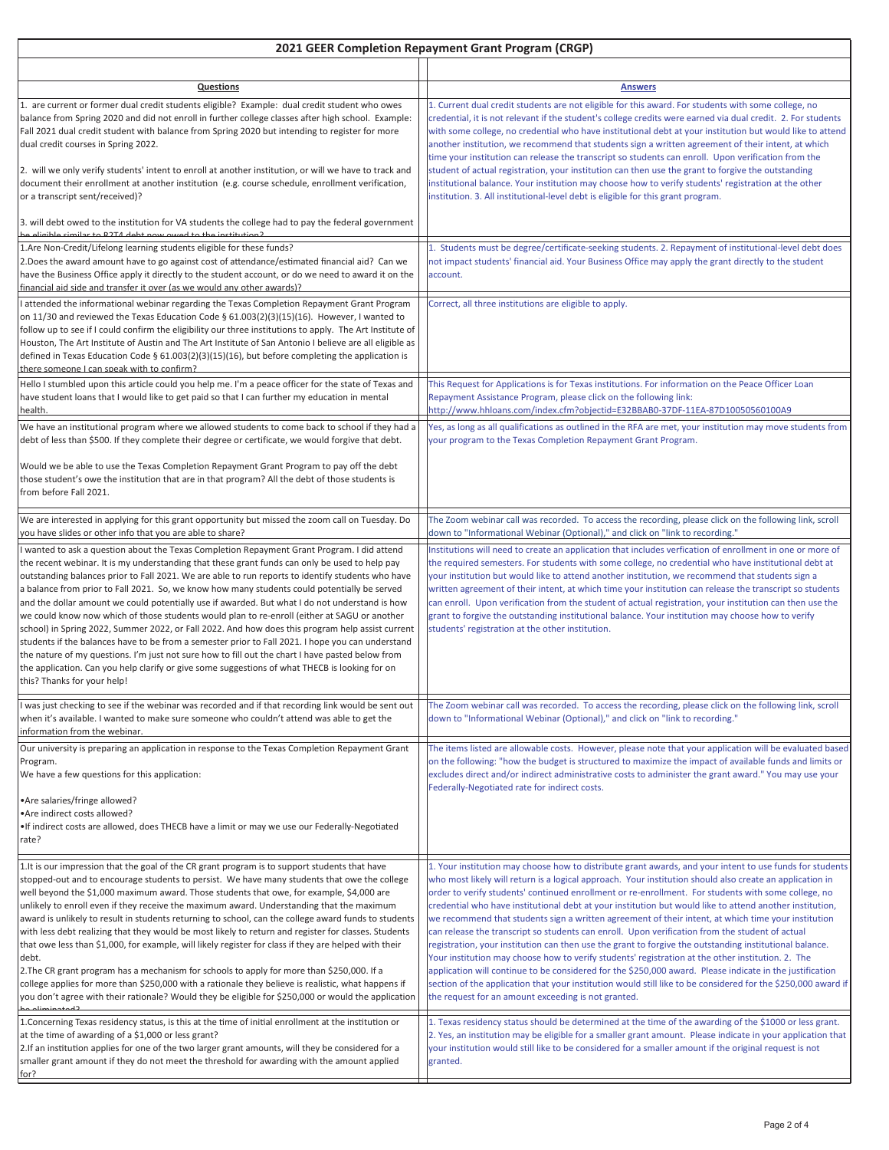| 2021 GEER Completion Repayment Grant Program (CRGP)                                                                                                                                                                                                                                                                                                                                                                                                                                                                                                                                                                                                                                                                                                                                                                                                                                                                                                                                                                                                |                                                                                                                                                                                                                                                                                                                                                                                                                                                                                                                                                                                                                                                                                                                                                                                                                                                                                                                                                                                                                                                                                                                                                       |
|----------------------------------------------------------------------------------------------------------------------------------------------------------------------------------------------------------------------------------------------------------------------------------------------------------------------------------------------------------------------------------------------------------------------------------------------------------------------------------------------------------------------------------------------------------------------------------------------------------------------------------------------------------------------------------------------------------------------------------------------------------------------------------------------------------------------------------------------------------------------------------------------------------------------------------------------------------------------------------------------------------------------------------------------------|-------------------------------------------------------------------------------------------------------------------------------------------------------------------------------------------------------------------------------------------------------------------------------------------------------------------------------------------------------------------------------------------------------------------------------------------------------------------------------------------------------------------------------------------------------------------------------------------------------------------------------------------------------------------------------------------------------------------------------------------------------------------------------------------------------------------------------------------------------------------------------------------------------------------------------------------------------------------------------------------------------------------------------------------------------------------------------------------------------------------------------------------------------|
|                                                                                                                                                                                                                                                                                                                                                                                                                                                                                                                                                                                                                                                                                                                                                                                                                                                                                                                                                                                                                                                    |                                                                                                                                                                                                                                                                                                                                                                                                                                                                                                                                                                                                                                                                                                                                                                                                                                                                                                                                                                                                                                                                                                                                                       |
| <b>Questions</b>                                                                                                                                                                                                                                                                                                                                                                                                                                                                                                                                                                                                                                                                                                                                                                                                                                                                                                                                                                                                                                   | <b>Answers</b>                                                                                                                                                                                                                                                                                                                                                                                                                                                                                                                                                                                                                                                                                                                                                                                                                                                                                                                                                                                                                                                                                                                                        |
| 1. are current or former dual credit students eligible? Example: dual credit student who owes<br>balance from Spring 2020 and did not enroll in further college classes after high school. Example:<br>Fall 2021 dual credit student with balance from Spring 2020 but intending to register for more<br>dual credit courses in Spring 2022.<br>2. will we only verify students' intent to enroll at another institution, or will we have to track and<br>document their enrollment at another institution (e.g. course schedule, enrollment verification,<br>or a transcript sent/received)?                                                                                                                                                                                                                                                                                                                                                                                                                                                      | 1. Current dual credit students are not eligible for this award. For students with some college, no<br>credential, it is not relevant if the student's college credits were earned via dual credit. 2. For students<br>with some college, no credential who have institutional debt at your institution but would like to attend<br>another institution, we recommend that students sign a written agreement of their intent, at which<br>time your institution can release the transcript so students can enroll. Upon verification from the<br>student of actual registration, your institution can then use the grant to forgive the outstanding<br>institutional balance. Your institution may choose how to verify students' registration at the other<br>institution. 3. All institutional-level debt is eligible for this grant program.                                                                                                                                                                                                                                                                                                       |
| 3. will debt owed to the institution for VA students the college had to pay the federal government<br>Caoitutitari edt et beure weg tdeb NTCQ et religije ed dipile ed                                                                                                                                                                                                                                                                                                                                                                                                                                                                                                                                                                                                                                                                                                                                                                                                                                                                             |                                                                                                                                                                                                                                                                                                                                                                                                                                                                                                                                                                                                                                                                                                                                                                                                                                                                                                                                                                                                                                                                                                                                                       |
| 1.Are Non-Credit/Lifelong learning students eligible for these funds?<br>2. Does the award amount have to go against cost of attendance/estimated financial aid? Can we<br>have the Business Office apply it directly to the student account, or do we need to award it on the<br>financial aid side and transfer it over (as we would any other awards)?                                                                                                                                                                                                                                                                                                                                                                                                                                                                                                                                                                                                                                                                                          | 1. Students must be degree/certificate-seeking students. 2. Repayment of institutional-level debt does<br>not impact students' financial aid. Your Business Office may apply the grant directly to the student<br>account.                                                                                                                                                                                                                                                                                                                                                                                                                                                                                                                                                                                                                                                                                                                                                                                                                                                                                                                            |
| I attended the informational webinar regarding the Texas Completion Repayment Grant Program<br>on 11/30 and reviewed the Texas Education Code $\S$ 61.003(2)(3)(15)(16). However, I wanted to<br>follow up to see if I could confirm the eligibility our three institutions to apply. The Art Institute of<br>Houston, The Art Institute of Austin and The Art Institute of San Antonio I believe are all eligible as<br>defined in Texas Education Code § $61.003(2)(3)(15)(16)$ , but before completing the application is<br>there someone I can speak with to confirm?                                                                                                                                                                                                                                                                                                                                                                                                                                                                         | Correct, all three institutions are eligible to apply.                                                                                                                                                                                                                                                                                                                                                                                                                                                                                                                                                                                                                                                                                                                                                                                                                                                                                                                                                                                                                                                                                                |
| Hello I stumbled upon this article could you help me. I'm a peace officer for the state of Texas and<br>have student loans that I would like to get paid so that I can further my education in mental<br>health.                                                                                                                                                                                                                                                                                                                                                                                                                                                                                                                                                                                                                                                                                                                                                                                                                                   | This Request for Applications is for Texas institutions. For information on the Peace Officer Loan<br>Repayment Assistance Program, please click on the following link:<br>http://www.hhloans.com/index.cfm?objectid=E32BBAB0-37DF-11EA-87D10050560100A9                                                                                                                                                                                                                                                                                                                                                                                                                                                                                                                                                                                                                                                                                                                                                                                                                                                                                              |
| We have an institutional program where we allowed students to come back to school if they had a<br>debt of less than \$500. If they complete their degree or certificate, we would forgive that debt.                                                                                                                                                                                                                                                                                                                                                                                                                                                                                                                                                                                                                                                                                                                                                                                                                                              | Yes, as long as all qualifications as outlined in the RFA are met, your institution may move students from<br>your program to the Texas Completion Repayment Grant Program.                                                                                                                                                                                                                                                                                                                                                                                                                                                                                                                                                                                                                                                                                                                                                                                                                                                                                                                                                                           |
| Would we be able to use the Texas Completion Repayment Grant Program to pay off the debt<br>those student's owe the institution that are in that program? All the debt of those students is<br>from before Fall 2021.                                                                                                                                                                                                                                                                                                                                                                                                                                                                                                                                                                                                                                                                                                                                                                                                                              |                                                                                                                                                                                                                                                                                                                                                                                                                                                                                                                                                                                                                                                                                                                                                                                                                                                                                                                                                                                                                                                                                                                                                       |
| We are interested in applying for this grant opportunity but missed the zoom call on Tuesday. Do<br>you have slides or other info that you are able to share?                                                                                                                                                                                                                                                                                                                                                                                                                                                                                                                                                                                                                                                                                                                                                                                                                                                                                      | The Zoom webinar call was recorded. To access the recording, please click on the following link, scroll<br>down to "Informational Webinar (Optional)," and click on "link to recording."                                                                                                                                                                                                                                                                                                                                                                                                                                                                                                                                                                                                                                                                                                                                                                                                                                                                                                                                                              |
| I wanted to ask a question about the Texas Completion Repayment Grant Program. I did attend<br>the recent webinar. It is my understanding that these grant funds can only be used to help pay<br>outstanding balances prior to Fall 2021. We are able to run reports to identify students who have<br>a balance from prior to Fall 2021. So, we know how many students could potentially be served<br>and the dollar amount we could potentially use if awarded. But what I do not understand is how<br>we could know now which of those students would plan to re-enroll (either at SAGU or another<br>school) in Spring 2022, Summer 2022, or Fall 2022. And how does this program help assist current<br>students if the balances have to be from a semester prior to Fall 2021. I hope you can understand<br>the nature of my questions. I'm just not sure how to fill out the chart I have pasted below from<br>the application. Can you help clarify or give some suggestions of what THECB is looking for on<br>this? Thanks for your help! | Institutions will need to create an application that includes verfication of enrollment in one or more of<br>the required semesters. For students with some college, no credential who have institutional debt at<br>your institution but would like to attend another institution, we recommend that students sign a<br>written agreement of their intent, at which time your institution can release the transcript so students<br>can enroll. Upon verification from the student of actual registration, your institution can then use the<br>grant to forgive the outstanding institutional balance. Your institution may choose how to verify<br>students' registration at the other institution.                                                                                                                                                                                                                                                                                                                                                                                                                                                |
| I was just checking to see if the webinar was recorded and if that recording link would be sent out<br>when it's available. I wanted to make sure someone who couldn't attend was able to get the<br>information from the webinar.                                                                                                                                                                                                                                                                                                                                                                                                                                                                                                                                                                                                                                                                                                                                                                                                                 | The Zoom webinar call was recorded. To access the recording, please click on the following link, scroll<br>down to "Informational Webinar (Optional)," and click on "link to recording."                                                                                                                                                                                                                                                                                                                                                                                                                                                                                                                                                                                                                                                                                                                                                                                                                                                                                                                                                              |
| Our university is preparing an application in response to the Texas Completion Repayment Grant<br>Program.<br>We have a few questions for this application:                                                                                                                                                                                                                                                                                                                                                                                                                                                                                                                                                                                                                                                                                                                                                                                                                                                                                        | The items listed are allowable costs. However, please note that your application will be evaluated based<br>on the following: "how the budget is structured to maximize the impact of available funds and limits or<br>excludes direct and/or indirect administrative costs to administer the grant award." You may use your<br>Federally-Negotiated rate for indirect costs.                                                                                                                                                                                                                                                                                                                                                                                                                                                                                                                                                                                                                                                                                                                                                                         |
| •Are salaries/fringe allowed?<br>•Are indirect costs allowed?<br>. If indirect costs are allowed, does THECB have a limit or may we use our Federally-Negotiated<br>rate?                                                                                                                                                                                                                                                                                                                                                                                                                                                                                                                                                                                                                                                                                                                                                                                                                                                                          |                                                                                                                                                                                                                                                                                                                                                                                                                                                                                                                                                                                                                                                                                                                                                                                                                                                                                                                                                                                                                                                                                                                                                       |
| 1. It is our impression that the goal of the CR grant program is to support students that have<br>stopped-out and to encourage students to persist. We have many students that owe the college<br>well beyond the \$1,000 maximum award. Those students that owe, for example, \$4,000 are<br>unlikely to enroll even if they receive the maximum award. Understanding that the maximum<br>award is unlikely to result in students returning to school, can the college award funds to students<br>with less debt realizing that they would be most likely to return and register for classes. Students<br>that owe less than \$1,000, for example, will likely register for class if they are helped with their<br>debt.<br>2. The CR grant program has a mechanism for schools to apply for more than \$250,000. If a<br>college applies for more than \$250,000 with a rationale they believe is realistic, what happens if<br>you don't agree with their rationale? Would they be eligible for \$250,000 or would the application              | 1. Your institution may choose how to distribute grant awards, and your intent to use funds for students<br>who most likely will return is a logical approach. Your institution should also create an application in<br>order to verify students' continued enrollment or re-enrollment. For students with some college, no<br>credential who have institutional debt at your institution but would like to attend another institution,<br>we recommend that students sign a written agreement of their intent, at which time your institution<br>can release the transcript so students can enroll. Upon verification from the student of actual<br>registration, your institution can then use the grant to forgive the outstanding institutional balance.<br>Your institution may choose how to verify students' registration at the other institution. 2. The<br>application will continue to be considered for the \$250,000 award. Please indicate in the justification<br>section of the application that your institution would still like to be considered for the \$250,000 award if<br>the request for an amount exceeding is not granted. |
| 1. Concerning Texas residency status, is this at the time of initial enrollment at the institution or<br>at the time of awarding of a \$1,000 or less grant?<br>2. If an institution applies for one of the two larger grant amounts, will they be considered for a<br>smaller grant amount if they do not meet the threshold for awarding with the amount applied<br>for?                                                                                                                                                                                                                                                                                                                                                                                                                                                                                                                                                                                                                                                                         | 1. Texas residency status should be determined at the time of the awarding of the \$1000 or less grant.<br>2. Yes, an institution may be eligible for a smaller grant amount. Please indicate in your application that<br>your institution would still like to be considered for a smaller amount if the original request is not<br>granted.                                                                                                                                                                                                                                                                                                                                                                                                                                                                                                                                                                                                                                                                                                                                                                                                          |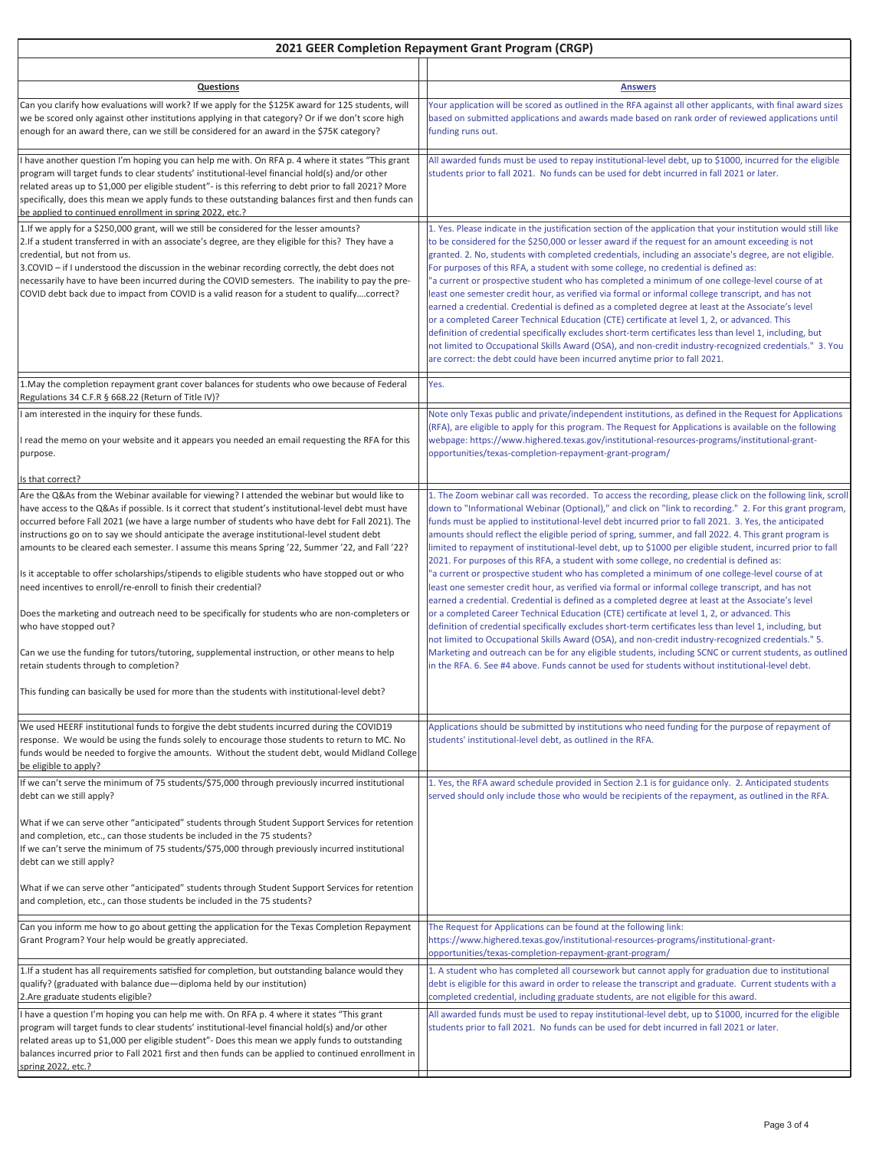| 2021 GEER Completion Repayment Grant Program (CRGP)                                                                                                                                                                                                                                                                                                                                                                                                                                                                                   |                                                                                                                                                                                                                                                                                                                                                                                                                                                                                                                                                                                                                                                                                                                                                                                                                                                                                                                                                                                                                                                                                                                                          |  |
|---------------------------------------------------------------------------------------------------------------------------------------------------------------------------------------------------------------------------------------------------------------------------------------------------------------------------------------------------------------------------------------------------------------------------------------------------------------------------------------------------------------------------------------|------------------------------------------------------------------------------------------------------------------------------------------------------------------------------------------------------------------------------------------------------------------------------------------------------------------------------------------------------------------------------------------------------------------------------------------------------------------------------------------------------------------------------------------------------------------------------------------------------------------------------------------------------------------------------------------------------------------------------------------------------------------------------------------------------------------------------------------------------------------------------------------------------------------------------------------------------------------------------------------------------------------------------------------------------------------------------------------------------------------------------------------|--|
| Questions                                                                                                                                                                                                                                                                                                                                                                                                                                                                                                                             | <b>Answers</b>                                                                                                                                                                                                                                                                                                                                                                                                                                                                                                                                                                                                                                                                                                                                                                                                                                                                                                                                                                                                                                                                                                                           |  |
| Can you clarify how evaluations will work? If we apply for the \$125K award for 125 students, will<br>we be scored only against other institutions applying in that category? Or if we don't score high<br>enough for an award there, can we still be considered for an award in the \$75K category?                                                                                                                                                                                                                                  | Your application will be scored as outlined in the RFA against all other applicants, with final award sizes<br>based on submitted applications and awards made based on rank order of reviewed applications until<br>funding runs out.                                                                                                                                                                                                                                                                                                                                                                                                                                                                                                                                                                                                                                                                                                                                                                                                                                                                                                   |  |
| have another question I'm hoping you can help me with. On RFA p. 4 where it states "This grant<br>program will target funds to clear students' institutional-level financial hold(s) and/or other<br>related areas up to \$1,000 per eligible student"- is this referring to debt prior to fall 2021? More<br>specifically, does this mean we apply funds to these outstanding balances first and then funds can<br>be applied to continued enrollment in spring 2022, etc.?                                                          | All awarded funds must be used to repay institutional-level debt, up to \$1000, incurred for the eligible<br>students prior to fall 2021. No funds can be used for debt incurred in fall 2021 or later.                                                                                                                                                                                                                                                                                                                                                                                                                                                                                                                                                                                                                                                                                                                                                                                                                                                                                                                                  |  |
| 1. If we apply for a \$250,000 grant, will we still be considered for the lesser amounts?<br>2. If a student transferred in with an associate's degree, are they eligible for this? They have a<br>credential, but not from us.<br>3. COVID - if I understood the discussion in the webinar recording correctly, the debt does not<br>necessarily have to have been incurred during the COVID semesters. The inability to pay the pre-<br>COVID debt back due to impact from COVID is a valid reason for a student to qualifycorrect? | 1. Yes. Please indicate in the justification section of the application that your institution would still like<br>to be considered for the \$250,000 or lesser award if the request for an amount exceeding is not<br>granted. 2. No, students with completed credentials, including an associate's degree, are not eligible.<br>For purposes of this RFA, a student with some college, no credential is defined as:<br>"a current or prospective student who has completed a minimum of one college-level course of at<br>least one semester credit hour, as verified via formal or informal college transcript, and has not<br>earned a credential. Credential is defined as a completed degree at least at the Associate's level<br>or a completed Career Technical Education (CTE) certificate at level 1, 2, or advanced. This<br>definition of credential specifically excludes short-term certificates less than level 1, including, but<br>not limited to Occupational Skills Award (OSA), and non-credit industry-recognized credentials." 3. You<br>are correct: the debt could have been incurred anytime prior to fall 2021. |  |
| 1. May the completion repayment grant cover balances for students who owe because of Federal<br>Regulations 34 C.F.R § 668.22 (Return of Title IV)?                                                                                                                                                                                                                                                                                                                                                                                   | Yes.                                                                                                                                                                                                                                                                                                                                                                                                                                                                                                                                                                                                                                                                                                                                                                                                                                                                                                                                                                                                                                                                                                                                     |  |
| am interested in the inquiry for these funds.                                                                                                                                                                                                                                                                                                                                                                                                                                                                                         | Note only Texas public and private/independent institutions, as defined in the Request for Applications                                                                                                                                                                                                                                                                                                                                                                                                                                                                                                                                                                                                                                                                                                                                                                                                                                                                                                                                                                                                                                  |  |
| read the memo on your website and it appears you needed an email requesting the RFA for this<br>purpose.                                                                                                                                                                                                                                                                                                                                                                                                                              | (RFA), are eligible to apply for this program. The Request for Applications is available on the following<br>webpage: https://www.highered.texas.gov/institutional-resources-programs/institutional-grant-<br>opportunities/texas-completion-repayment-grant-program/                                                                                                                                                                                                                                                                                                                                                                                                                                                                                                                                                                                                                                                                                                                                                                                                                                                                    |  |
| s that correct?                                                                                                                                                                                                                                                                                                                                                                                                                                                                                                                       |                                                                                                                                                                                                                                                                                                                                                                                                                                                                                                                                                                                                                                                                                                                                                                                                                                                                                                                                                                                                                                                                                                                                          |  |
| Are the Q&As from the Webinar available for viewing? I attended the webinar but would like to<br>have access to the Q&As if possible. Is it correct that student's institutional-level debt must have<br>occurred before Fall 2021 (we have a large number of students who have debt for Fall 2021). The<br>instructions go on to say we should anticipate the average institutional-level student debt<br>amounts to be cleared each semester. I assume this means Spring '22, Summer '22, and Fall '22?                             | 1. The Zoom webinar call was recorded. To access the recording, please click on the following link, scroll<br>down to "Informational Webinar (Optional)," and click on "link to recording." 2. For this grant program,<br>funds must be applied to institutional-level debt incurred prior to fall 2021. 3. Yes, the anticipated<br>amounts should reflect the eligible period of spring, summer, and fall 2022. 4. This grant program is<br>limited to repayment of institutional-level debt, up to \$1000 per eligible student, incurred prior to fall<br>2021. For purposes of this RFA, a student with some college, no credential is defined as:                                                                                                                                                                                                                                                                                                                                                                                                                                                                                    |  |
| Is it acceptable to offer scholarships/stipends to eligible students who have stopped out or who<br>need incentives to enroll/re-enroll to finish their credential?                                                                                                                                                                                                                                                                                                                                                                   | a current or prospective student who has completed a minimum of one college-level course of at"<br>least one semester credit hour, as verified via formal or informal college transcript, and has not<br>earned a credential. Credential is defined as a completed degree at least at the Associate's level                                                                                                                                                                                                                                                                                                                                                                                                                                                                                                                                                                                                                                                                                                                                                                                                                              |  |
| Does the marketing and outreach need to be specifically for students who are non-completers or<br>who have stopped out?<br>Can we use the funding for tutors/tutoring, supplemental instruction, or other means to help                                                                                                                                                                                                                                                                                                               | or a completed Career Technical Education (CTE) certificate at level 1, 2, or advanced. This<br>definition of credential specifically excludes short-term certificates less than level 1, including, but<br>not limited to Occupational Skills Award (OSA), and non-credit industry-recognized credentials." 5.<br>Marketing and outreach can be for any eligible students, including SCNC or current students, as outlined                                                                                                                                                                                                                                                                                                                                                                                                                                                                                                                                                                                                                                                                                                              |  |
| retain students through to completion?<br>This funding can basically be used for more than the students with institutional-level debt?                                                                                                                                                                                                                                                                                                                                                                                                | in the RFA. 6. See #4 above. Funds cannot be used for students without institutional-level debt.                                                                                                                                                                                                                                                                                                                                                                                                                                                                                                                                                                                                                                                                                                                                                                                                                                                                                                                                                                                                                                         |  |
|                                                                                                                                                                                                                                                                                                                                                                                                                                                                                                                                       |                                                                                                                                                                                                                                                                                                                                                                                                                                                                                                                                                                                                                                                                                                                                                                                                                                                                                                                                                                                                                                                                                                                                          |  |
| We used HEERF institutional funds to forgive the debt students incurred during the COVID19<br>response. We would be using the funds solely to encourage those students to return to MC. No<br>funds would be needed to forgive the amounts. Without the student debt, would Midland College<br>be eligible to apply?                                                                                                                                                                                                                  | Applications should be submitted by institutions who need funding for the purpose of repayment of<br>students' institutional-level debt, as outlined in the RFA.                                                                                                                                                                                                                                                                                                                                                                                                                                                                                                                                                                                                                                                                                                                                                                                                                                                                                                                                                                         |  |
| If we can't serve the minimum of 75 students/\$75,000 through previously incurred institutional                                                                                                                                                                                                                                                                                                                                                                                                                                       | 1. Yes, the RFA award schedule provided in Section 2.1 is for guidance only. 2. Anticipated students<br>served should only include those who would be recipients of the repayment, as outlined in the RFA.                                                                                                                                                                                                                                                                                                                                                                                                                                                                                                                                                                                                                                                                                                                                                                                                                                                                                                                               |  |
| debt can we still apply?<br>What if we can serve other "anticipated" students through Student Support Services for retention<br>and completion, etc., can those students be included in the 75 students?<br>If we can't serve the minimum of 75 students/\$75,000 through previously incurred institutional<br>debt can we still apply?<br>What if we can serve other "anticipated" students through Student Support Services for retention                                                                                           |                                                                                                                                                                                                                                                                                                                                                                                                                                                                                                                                                                                                                                                                                                                                                                                                                                                                                                                                                                                                                                                                                                                                          |  |
| and completion, etc., can those students be included in the 75 students?                                                                                                                                                                                                                                                                                                                                                                                                                                                              |                                                                                                                                                                                                                                                                                                                                                                                                                                                                                                                                                                                                                                                                                                                                                                                                                                                                                                                                                                                                                                                                                                                                          |  |
| Can you inform me how to go about getting the application for the Texas Completion Repayment<br>Grant Program? Your help would be greatly appreciated.                                                                                                                                                                                                                                                                                                                                                                                | The Request for Applications can be found at the following link:<br>https://www.highered.texas.gov/institutional-resources-programs/institutional-grant-<br>opportunities/texas-completion-repayment-grant-program/                                                                                                                                                                                                                                                                                                                                                                                                                                                                                                                                                                                                                                                                                                                                                                                                                                                                                                                      |  |
| 1. If a student has all requirements satisfied for completion, but outstanding balance would they<br>qualify? (graduated with balance due-diploma held by our institution)<br>2.Are graduate students eligible?                                                                                                                                                                                                                                                                                                                       | 1. A student who has completed all coursework but cannot apply for graduation due to institutional<br>debt is eligible for this award in order to release the transcript and graduate. Current students with a<br>completed credential, including graduate students, are not eligible for this award.                                                                                                                                                                                                                                                                                                                                                                                                                                                                                                                                                                                                                                                                                                                                                                                                                                    |  |
| have a question I'm hoping you can help me with. On RFA p. 4 where it states "This grant<br>program will target funds to clear students' institutional-level financial hold(s) and/or other<br>related areas up to \$1,000 per eligible student"- Does this mean we apply funds to outstanding<br>balances incurred prior to Fall 2021 first and then funds can be applied to continued enrollment in<br>spring 2022, etc.?                                                                                                           | All awarded funds must be used to repay institutional-level debt, up to \$1000, incurred for the eligible<br>students prior to fall 2021. No funds can be used for debt incurred in fall 2021 or later.                                                                                                                                                                                                                                                                                                                                                                                                                                                                                                                                                                                                                                                                                                                                                                                                                                                                                                                                  |  |